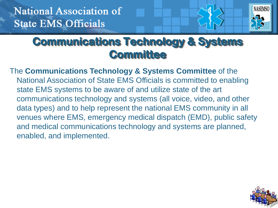

### **Communications Technology & Systems Committee**

The **Communications Technology & Systems Committee** of the National Association of State EMS Officials is committed to enabling state EMS systems to be aware of and utilize state of the art communications technology and systems (all voice, video, and other data types) and to help represent the national EMS community in all venues where EMS, emergency medical dispatch (EMD), public safety and medical communications technology and systems are planned, enabled, and implemented.

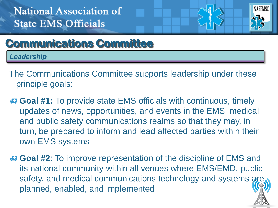

## **Communications Committee**

*Leadership*

- The Communications Committee supports leadership under these principle goals:
- **Goal #1:** To provide state EMS officials with continuous, timely updates of news, opportunities, and events in the EMS, medical and public safety communications realms so that they may, in turn, be prepared to inform and lead affected parties within their own EMS systems
- **Goal #2**: To improve representation of the discipline of EMS and its national community within all venues where EMS/EMD, public safety, and medical communications technology and systems are planned, enabled, and implemented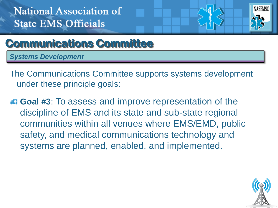

## **Communications Committee**

*Systems Development*

The Communications Committee supports systems development under these principle goals:

**Goal #3:** To assess and improve representation of the discipline of EMS and its state and sub-state regional communities within all venues where EMS/EMD, public safety, and medical communications technology and systems are planned, enabled, and implemented.

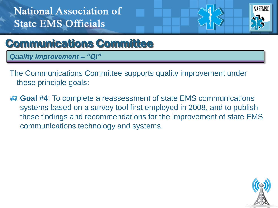

## **Communications Committee**

*Quality Improvement – "QI"*

The Communications Committee supports quality improvement under these principle goals:

 **Goal #4**: To complete a reassessment of state EMS communications systems based on a survey tool first employed in 2008, and to publish these findings and recommendations for the improvement of state EMS communications technology and systems.

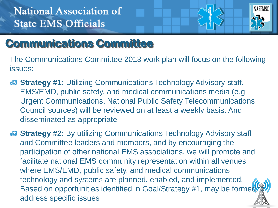

## **Communications Committee**

The Communications Committee 2013 work plan will focus on the following issues:

**Strategy #1:** Utilizing Communications Technology Advisory staff, EMS/EMD, public safety, and medical communications media (e.g. Urgent Communications, National Public Safety Telecommunications Council sources) will be reviewed on at least a weekly basis. And disseminated as appropriate

**Strategy #2:** By utilizing Communications Technology Advisory staff and Committee leaders and members, and by encouraging the participation of other national EMS associations, we will promote and facilitate national EMS community representation within all venues where EMS/EMD, public safety, and medical communications technology and systems are planned, enabled, and implemented. Based on opportunities identified in Goal/Strategy #1, may be formed address specific issues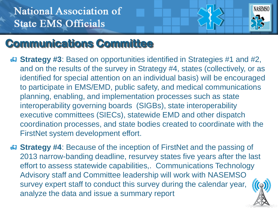

## **Communications Committee**

- **Strategy #3**: Based on opportunities identified in Strategies #1 and #2, and on the results of the survey in Strategy #4, states (collectively, or as identified for special attention on an individual basis) will be encouraged to participate in EMS/EMD, public safety, and medical communications planning, enabling, and implementation processes such as state interoperability governing boards (SIGBs), state interoperability executive committees (SIECs), statewide EMD and other dispatch coordination processes, and state bodies created to coordinate with the FirstNet system development effort.
- **Strategy #4:** Because of the inception of FirstNet and the passing of 2013 narrow-banding deadline, resurvey states five years after the last effort to assess statewide capabilities,. Communications Technology Advisory staff and Committee leadership will work with NASEMSO survey expert staff to conduct this survey during the calendar year, analyze the data and issue a summary report